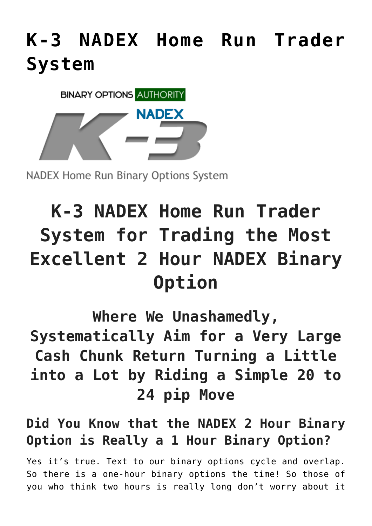## **[K-3 NADEX Home Run Trader](https://binaryoptionsauthority.com/k-3-nadex-home-run-trader-system/) [System](https://binaryoptionsauthority.com/k-3-nadex-home-run-trader-system/)**



**NADEX Home Run Binary Options System** 

# **K-3 NADEX Home Run Trader System for Trading the Most Excellent 2 Hour NADEX Binary Option**

**Where We Unashamedly,**

**Systematically Aim for a Very Large Cash Chunk Return Turning a Little into a Lot by Riding a Simple 20 to 24 pip Move**

### **Did You Know that the NADEX 2 Hour Binary Option is Really a 1 Hour Binary Option?**

Yes it's true. Text to our binary options cycle and overlap. So there is a one-hour binary options the time! So those of you who think two hours is really long don't worry about it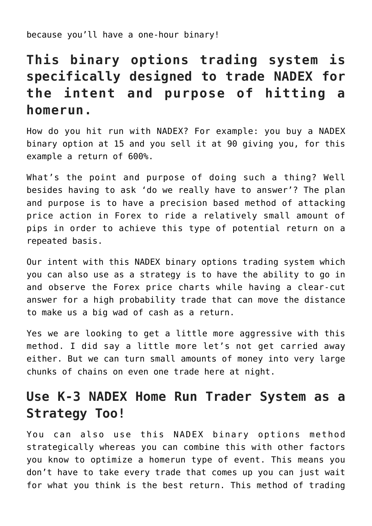because you'll have a one-hour binary!

### **This binary options trading system is specifically designed to trade NADEX for the intent and purpose of hitting a homerun.**

How do you hit run with NADEX? For example: you buy a NADEX binary option at 15 and you sell it at 90 giving you, for this example a return of 600%.

What's the point and purpose of doing such a thing? Well besides having to ask 'do we really have to answer'? The plan and purpose is to have a precision based method of attacking price action in Forex to ride a relatively small amount of pips in order to achieve this type of potential return on a repeated basis.

Our intent with this NADEX binary options trading system which you can also use as a strategy is to have the ability to go in and observe the Forex price charts while having a clear-cut answer for a high probability trade that can move the distance to make us a big wad of cash as a return.

Yes we are looking to get a little more aggressive with this method. I did say a little more let's not get carried away either. But we can turn small amounts of money into very large chunks of chains on even one trade here at night.

#### **Use K-3 NADEX Home Run Trader System as a Strategy Too!**

You can also use this NADEX binary options method strategically whereas you can combine this with other factors you know to optimize a homerun type of event. This means you don't have to take every trade that comes up you can just wait for what you think is the best return. This method of trading